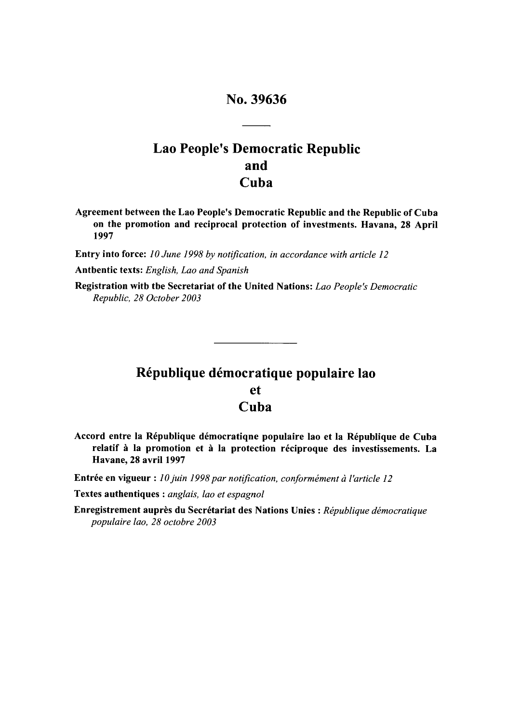# No. 39636

# Lao People's Democratic Republic and Cuba

Agreement between the Lao People's Democratic Republic and the Republic of Cuba on the promotion and reciprocal protection of investments. Havana, **28** April **1997**

Entry into force: *10 June 1998 by notification, in accordance with article 12*

Antbentic texts: English, Lao and Spanish

Registration with the Secretariat of the United Nations: *Lao People's Democratic Republic, 28 October 2003*

# République démocratique populaire lao et Cuba

Accord entre la République démocratiqne populaire lao et la République de Cuba relatif à la promotion et à la protection réciproque des investissements. La Havane, **28** avril **1997**

Entrée en vigueur : 10 juin 1998 par notification, conformément à l'article 12

Textes authentiques : *anglais, lao et espagnol*

Enregistrement auprès du Secrétariat des Nations Unies : République démocratique *populaire lao, 28 octobre 2003*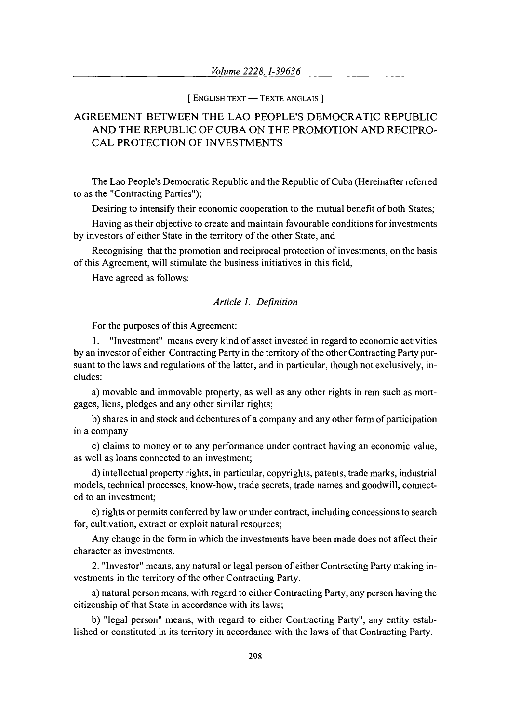#### **[ ENGLISH TEXT - TEXTE ANGLAIS ]**

# AGREEMENT BETWEEN THE LAO PEOPLE'S DEMOCRATIC REPUBLIC AND THE REPUBLIC OF CUBA ON THE PROMOTION AND RECIPRO-CAL PROTECTION OF INVESTMENTS

The Lao People's Democratic Republic and the Republic of Cuba (Hereinafter referred to as the "Contracting Parties");

Desiring to intensify their economic cooperation to the mutual benefit of both States;

Having as their objective to create and maintain favourable conditions for investments by investors of either State in the territory of the other State, and

Recognising that the promotion and reciprocal protection of investments, on the basis of this Agreement, will stimulate the business initiatives in this field,

Have agreed as follows:

# *Article 1. Definition*

For the purposes of this Agreement:

1. "Investment" means every kind of asset invested in regard to economic activities by an investor of either Contracting Party in the territory of the other Contracting Party pursuant to the laws and regulations of the latter, and in particular, though not exclusively, includes:

a) movable and immovable property, as well as any other rights in rem such as mortgages, liens, pledges and any other similar rights;

b) shares in and stock and debentures of a company and any other form of participation in a company

c) claims to money or to any performance under contract having an economic value, as well as loans connected to an investment;

d) intellectual property rights, in particular, copyrights, patents, trade marks, industrial models, technical processes, know-how, trade secrets, trade names and goodwill, connected to an investment;

e) rights or permits conferred by law or under contract, including concessions to search for, cultivation, extract or exploit natural resources;

Any change in the form in which the investments have been made does not affect their character as investments.

2. "Investor" means, any natural or legal person of either Contracting Party making investments in the territory of the other Contracting Party.

a) natural person means, with regard to either Contracting Party, any person having the citizenship of that State in accordance with its laws;

b) "legal person" means, with regard to either Contracting Party", any entity established or constituted in its territory in accordance with the laws of that Contracting Party.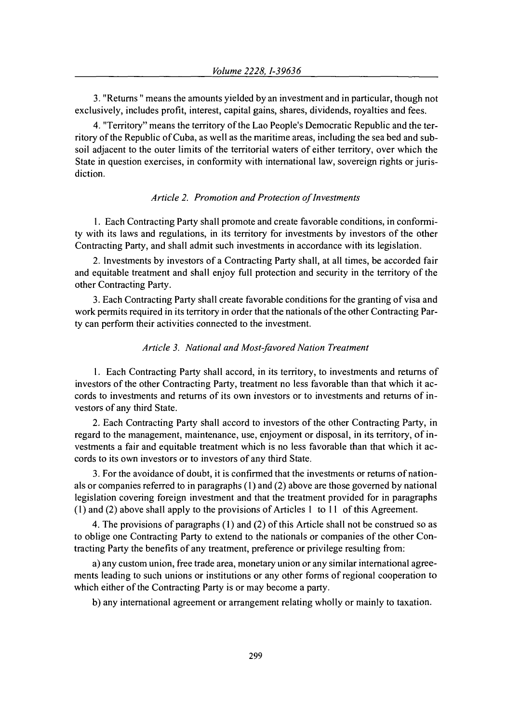3. "Returns " means the amounts yielded by an investment and in particular, though not exclusively, includes profit, interest, capital gains, shares, dividends, royalties and fees.

4. "Territory" means the territory of the Lao People's Democratic Republic and the territory of the Republic of Cuba, as well as the maritime areas, including the sea bed and subsoil adjacent to the outer limits of the territorial waters of either territory, over which the State in question exercises, in conformity with international law, sovereign rights or jurisdiction.

# *Article 2. Promotion and Protection of Investments*

1. Each Contracting Party shall promote and create favorable conditions, in conformity with its laws and regulations, in its territory for investments by investors of the other Contracting Party, and shall admit such investments in accordance with its legislation.

2. Investments by investors of a Contracting Party shall, at all times, be accorded fair and equitable treatment and shall enjoy full protection and security in the territory of the other Contracting Party.

3. Each Contracting Party shall create favorable conditions for the granting of visa and work permits required in its territory in order that the nationals of the other Contracting Party can perform their activities connected to the investment.

#### *Article 3. National and Most-favored Nation Treatment*

1. Each Contracting Party shall accord, in its territory, to investments and returns of investors of the other Contracting Party, treatment no less favorable than that which it accords to investments and returns of its own investors or to investments and returns of investors of any third State.

2. Each Contracting Party shall accord to investors of the other Contracting Party, in regard to the management, maintenance, use, enjoyment or disposal, in its territory, of investments a fair and equitable treatment which is no less favorable than that which it accords to its own investors or to investors of any third State.

3. For the avoidance of doubt, it is confirmed that the investments or returns of nationals or companies referred to in paragraphs **(1)** and (2) above are those governed by national legislation covering foreign investment and that the treatment provided for in paragraphs (1) and (2) above shall apply to the provisions of Articles 1 to 11 of this Agreement.

4. The provisions of paragraphs (1) and (2) of this Article shall not be construed so as to oblige one Contracting Party to extend to the nationals or companies of the other Contracting Party the benefits of any treatment, preference or privilege resulting from:

a) any custom union, free trade area, monetary union or any similar international agreements leading to such unions or institutions or any other forms of regional cooperation to which either of the Contracting Party is or may become a party.

b) any international agreement or arrangement relating wholly or mainly to taxation.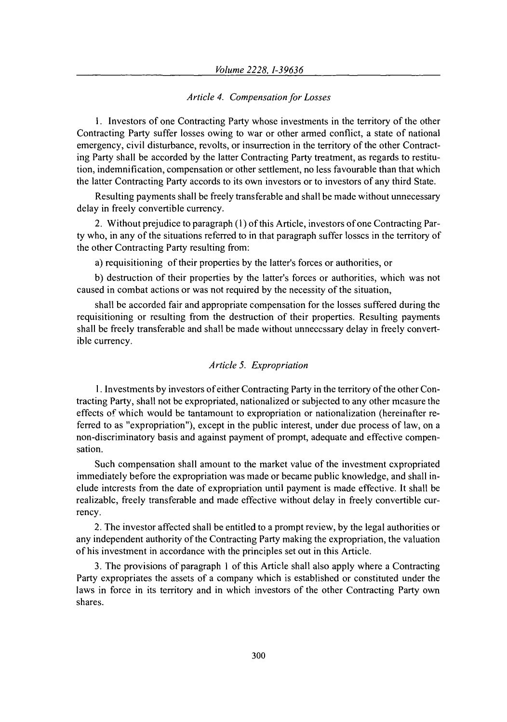# *Article 4. Compensation for Losses*

**1.** Investors of one Contracting Party whose investments in the territory of the other Contracting Party suffer losses owing to war or other armed conflict, a state of national emergency, civil disturbance, revolts, or insurrection in the territory of the other Contracting Party shall be accorded by the latter Contracting Party treatment, as regards to restitution, indemnification, compensation or other settlement, no less favourable than that which the latter Contracting Party accords to its own investors or to investors of any third State.

Resulting payments shall be freely transferable and shall be made without unnecessary delay in freely convertible currency.

2. Without prejudice to paragraph (1) of this Article, investors of one Contracting Party who, in any of the situations referred to in that paragraph suffer losses in the territory of the other Contracting Party resulting from:

a) requisitioning of their properties by the latter's forces or authorities, or

b) destruction of their properties by the latter's forces or authorities, which was not caused in combat actions or was not required by the necessity of the situation,

shall be accorded fair and appropriate compensation for the losses suffered during the requisitioning or resulting from the destruction of their properties. Resulting payments shall be freely transferable and shall be made without unnecessary delay in freely convertible currency.

# *Article 5. Expropriation*

**1.** Investments by investors of either Contracting Party in the territory of the other Contracting Party, shall not be expropriated, nationalized or subjected to any other measure the effects of which would be tantamount to expropriation or nationalization (hereinafter referred to as "expropriation"), except in the public interest, under due process of law, on a non-discriminatory basis and against payment of prompt, adequate and effective compensation.

Such compensation shall amount to the market value of the investment expropriated immediately before the expropriation was made or became public knowledge, and shall include interests from the date of expropriation until payment is made effective. It shall be realizable, freely transferable and made effective without delay in freely convertible currency.

2. The investor affected shall be entitled to a prompt review, by the legal authorities or any independent authority of the Contracting Party making the expropriation, the valuation of his investment in accordance with the principles set out in this Article.

3. The provisions of paragraph **I** of this Article shall also apply where a Contracting Party expropriates the assets of a company which is established or constituted under the laws in force in its territory and in which investors of the other Contracting Party own shares.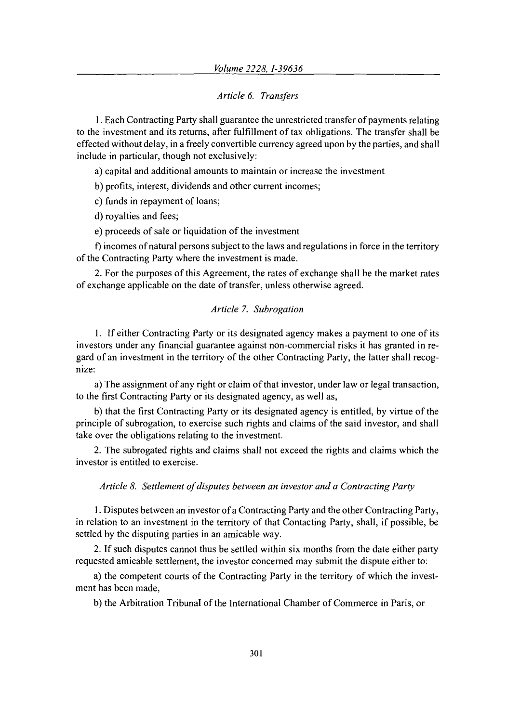# *Article 6. Transfers*

**1.** Each Contracting Party shall guarantee the unrestricted transfer of payments relating to the investment and its returns, after fulfillment of tax obligations. The transfer shall be effected without delay, in a freely convertible currency agreed upon by the parties, and shall include in particular, though not exclusively:

a) capital and additional amounts to maintain or increase the investment

b) profits, interest, dividends and other current incomes;

c) funds in repayment of loans;

d) royalties and fees;

e) proceeds of sale or liquidation of the investment

f) incomes of natural persons subject to the laws and regulations in force in the territory of the Contracting Party where the investment is made.

2. For the purposes of this Agreement, the rates of exchange shall be the market rates of exchange applicable on the date of transfer, unless otherwise agreed.

### *Article 7. Subrogation*

1. If either Contracting Party or its designated agency makes a payment to one of its investors under any financial guarantee against non-commercial risks it has granted in regard of an investment in the territory of the other Contracting Party, the latter shall recognize:

a) The assignment of any right or claim of that investor, under law or legal transaction, to the first Contracting Party or its designated agency, as well as,

b) that the first Contracting Party or its designated agency is entitled, by virtue of the principle of subrogation, to exercise such rights and claims of the said investor, and shall take over the obligations relating to the investment.

2. The subrogated rights and claims shall not exceed the rights and claims which the investor is entitled to exercise.

### *Article 8. Settlement of disputes between an investor and a Contracting Party*

1. Disputes between an investor of a Contracting Party and the other Contracting Party, in relation to an investment in the territory of that Contacting Party, shall, if possible, be settled by the disputing parties in an amicable way.

2. If such disputes cannot thus be settled within six months from the date either party requested amicable settlement, the investor concerned may submit the dispute either to:

a) the competent courts of the Contracting Party in the territory of which the investment has been made,

b) the Arbitration Tribunal of the International Chamber of Commerce in Paris, or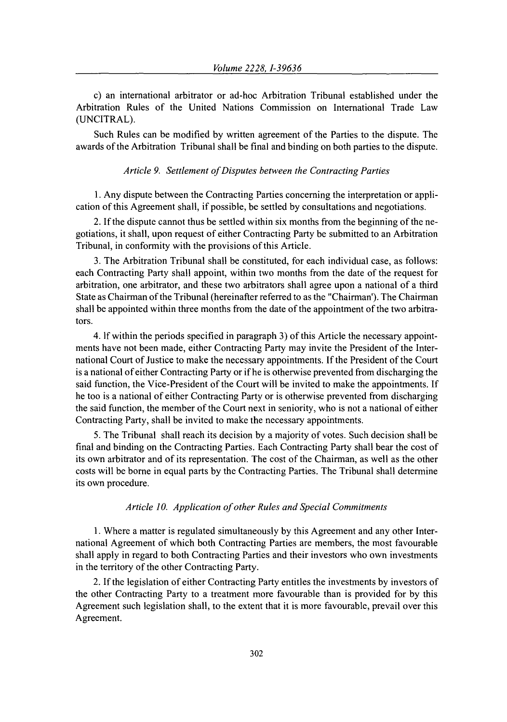c) an international arbitrator or ad-hoc Arbitration Tribunal established under the Arbitration Rules of the United Nations Commission on International Trade Law (UNCITRAL).

Such Rules can be modified by written agreement of the Parties to the dispute. The awards of the Arbitration Tribunal shall be final and binding on both parties to the dispute.

## *Article 9. Settlement of Disputes between the Contracting Parties*

1. Any dispute between the Contracting Parties concerning the interpretation or application of this Agreement shall, if possible, be settled by consultations and negotiations.

2. If the dispute cannot thus be settled within six months from the beginning of the negotiations, it shall, upon request of either Contracting Party be submitted to an Arbitration Tribunal, in conformity with the provisions of this Article.

3. The Arbitration Tribunal shall be constituted, for each individual case, as follows: each Contracting Party shall appoint, within two months from the date of the request for arbitration, one arbitrator, and these two arbitrators shall agree upon a national of a third State as Chairman of the Tribunal (hereinafter referred to as the "Chairman'). The Chairman shall be appointed within three months from the date of the appointment of the two arbitrators.

4. **If** within the periods specified in paragraph 3) of this Article the necessary appointments have not been made, either Contracting Party may invite the President of the International Court of Justice to make the necessary appointments. If the President of the Court is a national of either Contracting Party or if he is otherwise prevented from discharging the said function, the Vice-President of the Court will be invited to make the appointments. If he too is a national of either Contracting Party or is otherwise prevented from discharging the said function, the member of the Court next in seniority, who is not a national of either Contracting Party, shall be invited to make the necessary appointments.

5. The Tribunal shall reach its decision by a majority of votes. Such decision shall be final and binding on the Contracting Parties. Each Contracting Party shall bear the cost of its own arbitrator and of its representation. The cost of the Chairman, as well as the other costs will be borne in equal parts by the Contracting Parties. The Tribunal shall determine its own procedure.

#### *Article* **10.** *Application of other Rules and Special Commitments*

**1.** Where a matter is regulated simultaneously by this Agreement and any other International Agreement of which both Contracting Parties are members, the most favourable shall apply in regard to both Contracting Parties and their investors who own investments in the territory of the other Contracting Party.

2. If the legislation of either Contracting Party entitles the investments by investors of the other Contracting Party to a treatment more favourable than is provided for by this Agreement such legislation shall, to the extent that it is more favourable, prevail over this Agreement.